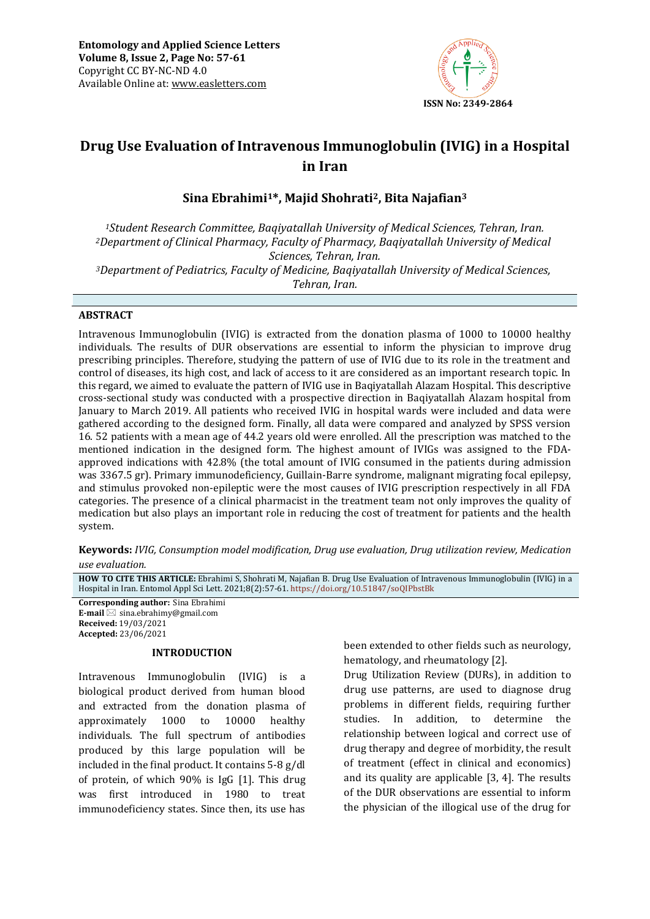

# **Drug Use Evaluation of Intravenous Immunoglobulin (IVIG) in a Hospital in Iran**

## **Sina Ebrahimi1\*, Majid Shohrati2, Bita Najafian<sup>3</sup>**

*<sup>1</sup>Student Research Committee, Baqiyatallah University of Medical Sciences, Tehran, Iran. <sup>2</sup>Department of Clinical Pharmacy, Faculty of Pharmacy, Baqiyatallah University of Medical Sciences, Tehran, Iran. <sup>3</sup>Department of Pediatrics, Faculty of Medicine, Baqiyatallah University of Medical Sciences, Tehran, Iran.*

#### **ABSTRACT**

Intravenous Immunoglobulin (IVIG) is extracted from the donation plasma of 1000 to 10000 healthy individuals. The results of DUR observations are essential to inform the physician to improve drug prescribing principles. Therefore, studying the pattern of use of IVIG due to its role in the treatment and control of diseases, its high cost, and lack of access to it are considered as an important research topic. In this regard, we aimed to evaluate the pattern of IVIG use in Baqiyatallah Alazam Hospital. This descriptive cross-sectional study was conducted with a prospective direction in Baqiyatallah Alazam hospital from January to March 2019. All patients who received IVIG in hospital wards were included and data were gathered according to the designed form. Finally, all data were compared and analyzed by SPSS version 16. 52 patients with a mean age of 44.2 years old were enrolled. All the prescription was matched to the mentioned indication in the designed form. The highest amount of IVIGs was assigned to the FDAapproved indications with 42.8% (the total amount of IVIG consumed in the patients during admission was 3367.5 gr). Primary immunodeficiency, Guillain-Barre syndrome, malignant migrating focal epilepsy, and stimulus provoked non-epileptic were the most causes of IVIG prescription respectively in all FDA categories. The presence of a clinical pharmacist in the treatment team not only improves the quality of medication but also plays an important role in reducing the cost of treatment for patients and the health system.

**Keywords:** *IVIG, Consumption model modification, Drug use evaluation, Drug utilization review, Medication use evaluation.*

**HOW TO CITE THIS ARTICLE:** Ebrahimi S, Shohrati M, Najafian B. Drug Use Evaluation of Intravenous Immunoglobulin (IVIG) in a Hospital in Iran. Entomol Appl Sci Lett. 2021;8(2):57-61. <https://doi.org/10.51847/soQIPbstBk>

**Corresponding author:** Sina Ebrahimi **E-mail**  $\boxtimes$  sina.ebrahimy@gmail.com **Received:** 19/03/2021 **Accepted:** 23/06/2021

#### **INTRODUCTION**

Intravenous Immunoglobulin (IVIG) is a biological product derived from human blood and extracted from the donation plasma of approximately 1000 to 10000 healthy individuals. The full spectrum of antibodies produced by this large population will be included in the final product. It contains 5-8 g/dl of protein, of which 90% is IgG [1]. This drug was first introduced in 1980 to treat immunodeficiency states. Since then, its use has

been extended to other fields such as neurology, hematology, and rheumatology [2].

Drug Utilization Review (DURs), in addition to drug use patterns, are used to diagnose drug problems in different fields, requiring further studies. In addition, to determine the relationship between logical and correct use of drug therapy and degree of morbidity, the result of treatment (effect in clinical and economics) and its quality are applicable [3, 4]. The results of the DUR observations are essential to inform the physician of the illogical use of the drug for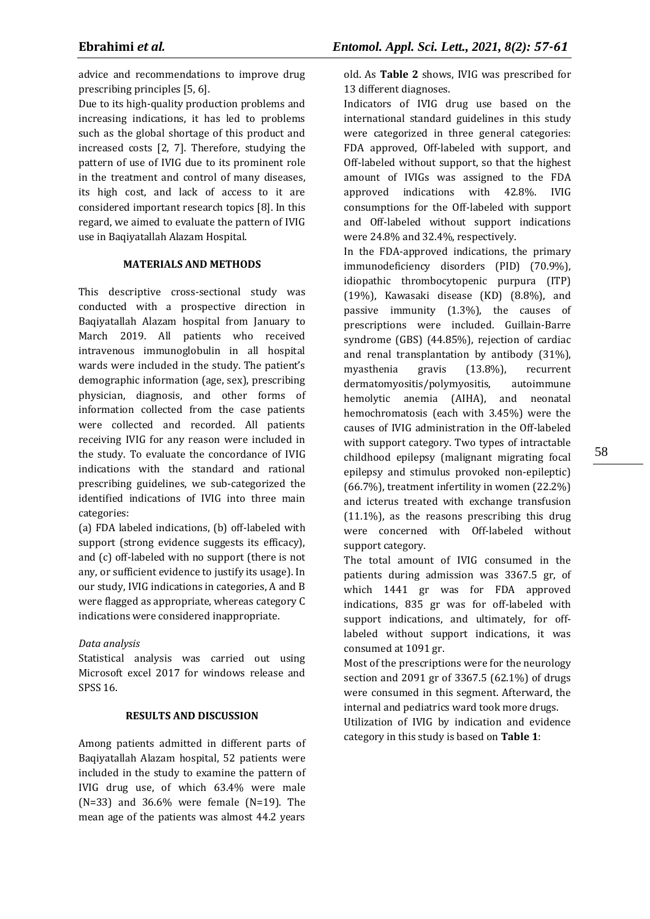advice and recommendations to improve drug prescribing principles [5, 6].

Due to its high-quality production problems and increasing indications, it has led to problems such as the global shortage of this product and increased costs [2, 7]. Therefore, studying the pattern of use of IVIG due to its prominent role in the treatment and control of many diseases, its high cost, and lack of access to it are considered important research topics [8]. In this regard, we aimed to evaluate the pattern of IVIG use in Baqiyatallah Alazam Hospital.

#### **MATERIALS AND METHODS**

This descriptive cross-sectional study was conducted with a prospective direction in Baqiyatallah Alazam hospital from January to March 2019. All patients who received intravenous immunoglobulin in all hospital wards were included in the study. The patient's demographic information (age, sex), prescribing physician, diagnosis, and other forms of information collected from the case patients were collected and recorded. All patients receiving IVIG for any reason were included in the study. To evaluate the concordance of IVIG indications with the standard and rational prescribing guidelines, we sub-categorized the identified indications of IVIG into three main categories:

(a) FDA labeled indications, (b) off-labeled with support (strong evidence suggests its efficacy), and (c) off‑labeled with no support (there is not any, or sufficient evidence to justify its usage). In our study, IVIG indications in categories, A and B were flagged as appropriate, whereas category C indications were considered inappropriate.

## *Data analysis*

Statistical analysis was carried out using Microsoft excel 2017 for windows release and SPSS 16.

#### **RESULTS AND DISCUSSION**

Among patients admitted in different parts of Baqiyatallah Alazam hospital, 52 patients were included in the study to examine the pattern of IVIG drug use, of which 63.4% were male (N=33) and 36.6% were female (N=19). The mean age of the patients was almost 44.2 years

old. As **Table 2** shows, IVIG was prescribed for 13 different diagnoses.

Indicators of IVIG drug use based on the international standard guidelines in this study were categorized in three general categories: FDA approved, Off-labeled with support, and Off-labeled without support, so that the highest amount of IVIGs was assigned to the FDA approved indications with 42.8%. IVIG consumptions for the Off-labeled with support and Off-labeled without support indications were 24.8% and 32.4%, respectively.

In the FDA-approved indications, the primary immunodeficiency disorders (PID) (70.9%), idiopathic thrombocytopenic purpura (ITP) (19%), Kawasaki disease (KD) (8.8%), and passive immunity (1.3%), the causes of prescriptions were included. Guillain-Barre syndrome (GBS) (44.85%), rejection of cardiac and renal transplantation by antibody (31%), myasthenia gravis (13.8%), recurrent dermatomyositis/polymyositis, autoimmune hemolytic anemia (AIHA), and neonatal hemochromatosis (each with 3.45%) were the causes of IVIG administration in the Off-labeled with support category. Two types of intractable childhood epilepsy (malignant migrating focal epilepsy and stimulus provoked non-epileptic) (66.7%), treatment infertility in women (22.2%) and icterus treated with exchange transfusion (11.1%), as the reasons prescribing this drug were concerned with Off-labeled without support category.

The total amount of IVIG consumed in the patients during admission was 3367.5 gr, of which 1441 gr was for FDA approved indications, 835 gr was for off-labeled with support indications, and ultimately, for offlabeled without support indications, it was consumed at 1091 gr.

Most of the prescriptions were for the neurology section and 2091 gr of 3367.5 (62.1%) of drugs were consumed in this segment. Afterward, the internal and pediatrics ward took more drugs. Utilization of IVIG by indication and evidence category in this study is based on **Table 1**: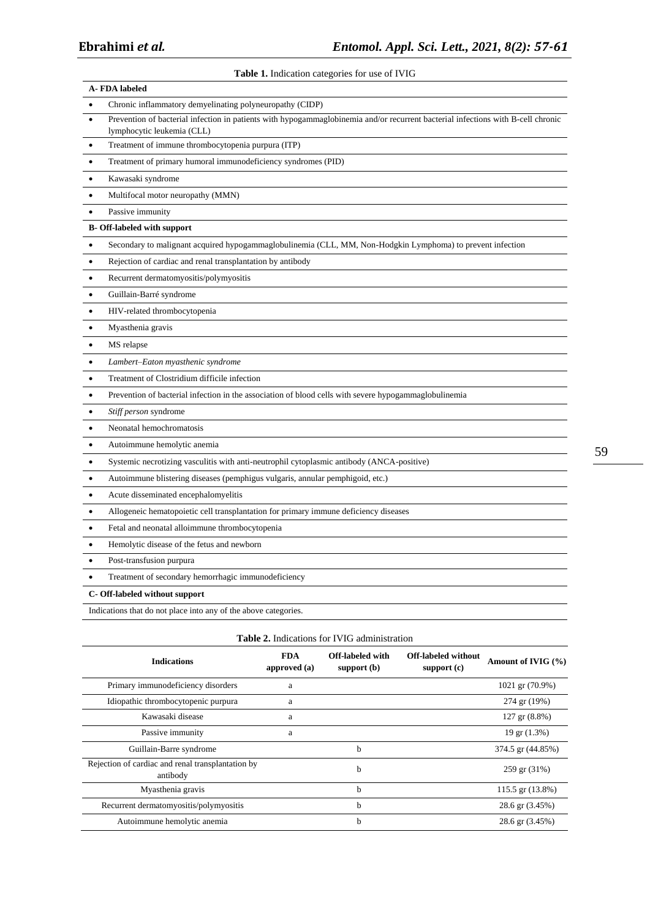**Table 1.** Indication categories for use of IVIG

| A-FDA labeled                                                   |                                                                                                                                                                |  |  |  |
|-----------------------------------------------------------------|----------------------------------------------------------------------------------------------------------------------------------------------------------------|--|--|--|
|                                                                 | Chronic inflammatory demyelinating polyneuropathy (CIDP)                                                                                                       |  |  |  |
| $\bullet$                                                       | Prevention of bacterial infection in patients with hypogammaglobinemia and/or recurrent bacterial infections with B-cell chronic<br>lymphocytic leukemia (CLL) |  |  |  |
| $\bullet$                                                       | Treatment of immune thrombocytopenia purpura (ITP)                                                                                                             |  |  |  |
| $\bullet$                                                       | Treatment of primary humoral immunodeficiency syndromes (PID)                                                                                                  |  |  |  |
| $\bullet$                                                       | Kawasaki syndrome                                                                                                                                              |  |  |  |
| $\bullet$                                                       | Multifocal motor neuropathy (MMN)                                                                                                                              |  |  |  |
| $\bullet$                                                       | Passive immunity                                                                                                                                               |  |  |  |
|                                                                 | <b>B-Off-labeled with support</b>                                                                                                                              |  |  |  |
| $\bullet$                                                       | Secondary to malignant acquired hypogammaglobulinemia (CLL, MM, Non-Hodgkin Lymphoma) to prevent infection                                                     |  |  |  |
| $\bullet$                                                       | Rejection of cardiac and renal transplantation by antibody                                                                                                     |  |  |  |
| $\bullet$                                                       | Recurrent dermatomyositis/polymyositis                                                                                                                         |  |  |  |
| $\bullet$                                                       | Guillain-Barré syndrome                                                                                                                                        |  |  |  |
| $\bullet$                                                       | HIV-related thrombocytopenia                                                                                                                                   |  |  |  |
| $\bullet$                                                       | Myasthenia gravis                                                                                                                                              |  |  |  |
| $\bullet$                                                       | MS relapse                                                                                                                                                     |  |  |  |
| $\bullet$                                                       | Lambert-Eaton myasthenic syndrome                                                                                                                              |  |  |  |
| $\bullet$                                                       | Treatment of Clostridium difficile infection                                                                                                                   |  |  |  |
| $\bullet$                                                       | Prevention of bacterial infection in the association of blood cells with severe hypogammaglobulinemia                                                          |  |  |  |
| $\bullet$                                                       | Stiff person syndrome                                                                                                                                          |  |  |  |
| $\bullet$                                                       | Neonatal hemochromatosis                                                                                                                                       |  |  |  |
| $\bullet$                                                       | Autoimmune hemolytic anemia                                                                                                                                    |  |  |  |
| $\bullet$                                                       | Systemic necrotizing vasculitis with anti-neutrophil cytoplasmic antibody (ANCA-positive)                                                                      |  |  |  |
| $\bullet$                                                       | Autoimmune blistering diseases (pemphigus vulgaris, annular pemphigoid, etc.)                                                                                  |  |  |  |
| $\bullet$                                                       | Acute disseminated encephalomyelitis                                                                                                                           |  |  |  |
| $\bullet$                                                       | Allogeneic hematopoietic cell transplantation for primary immune deficiency diseases                                                                           |  |  |  |
| $\bullet$                                                       | Fetal and neonatal alloimmune thrombocytopenia                                                                                                                 |  |  |  |
| $\bullet$                                                       | Hemolytic disease of the fetus and newborn                                                                                                                     |  |  |  |
| $\bullet$                                                       | Post-transfusion purpura                                                                                                                                       |  |  |  |
| $\bullet$                                                       | Treatment of secondary hemorrhagic immunodeficiency                                                                                                            |  |  |  |
| C- Off-labeled without support                                  |                                                                                                                                                                |  |  |  |
| Indications that do not place into any of the above categories. |                                                                                                                                                                |  |  |  |
|                                                                 |                                                                                                                                                                |  |  |  |

|  |  |  | <b>Table 2.</b> Indications for IVIG administration |
|--|--|--|-----------------------------------------------------|
|--|--|--|-----------------------------------------------------|

| <b>Indications</b>                                            | <b>FDA</b><br>approved (a) | Off-labeled with<br>support $(b)$ | <b>Off-labeled without</b><br>support $(c)$ | Amount of IVIG $(\% )$   |
|---------------------------------------------------------------|----------------------------|-----------------------------------|---------------------------------------------|--------------------------|
| Primary immunodeficiency disorders                            | a                          |                                   |                                             | 1021 gr (70.9%)          |
| Idiopathic thrombocytopenic purpura                           | a                          |                                   |                                             | 274 gr (19%)             |
| Kawasaki disease                                              | a                          |                                   |                                             | $127$ gr $(8.8\%)$       |
| Passive immunity                                              | a                          |                                   |                                             | $19 \text{ gr } (1.3\%)$ |
| Guillain-Barre syndrome                                       |                            | h                                 |                                             | 374.5 gr (44.85%)        |
| Rejection of cardiac and renal transplantation by<br>antibody |                            | b                                 |                                             | 259 gr (31%)             |
| Myasthenia gravis                                             |                            | h                                 |                                             | $115.5$ gr $(13.8\%)$    |
| Recurrent dermatomyositis/polymyositis                        |                            | h                                 |                                             | 28.6 gr (3.45%)          |
| Autoimmune hemolytic anemia                                   |                            | h                                 |                                             | 28.6 gr (3.45%)          |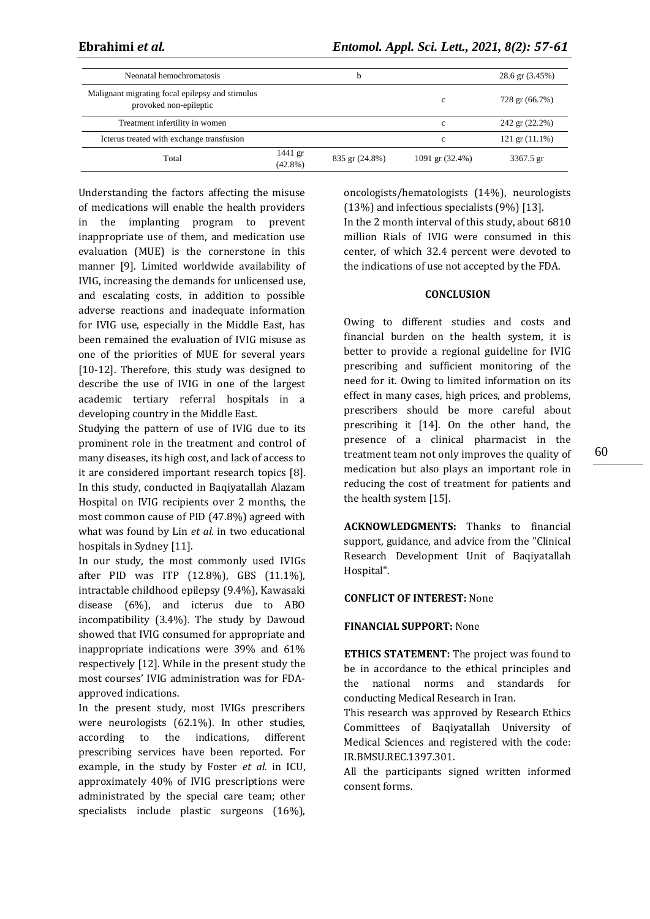| Neonatal hemochromatosis                                                  |                         | b              |                 | 28.6 gr (3.45%)            |
|---------------------------------------------------------------------------|-------------------------|----------------|-----------------|----------------------------|
| Malignant migrating focal epilepsy and stimulus<br>provoked non-epileptic |                         |                | c               | 728 gr (66.7%)             |
| Treatment infertility in women                                            |                         |                | $\mathbf c$     | 242 gr (22.2%)             |
| Icterus treated with exchange transfusion                                 |                         |                | $\mathbf{c}$    | $121 \text{ gr } (11.1\%)$ |
| Total                                                                     | $1441$ gr<br>$(42.8\%)$ | 835 gr (24.8%) | 1091 gr (32.4%) | 3367.5 gr                  |

Understanding the factors affecting the misuse of medications will enable the health providers in the implanting program to prevent inappropriate use of them, and medication use evaluation (MUE) is the cornerstone in this manner [9]. Limited worldwide availability of IVIG, increasing the demands for unlicensed use, and escalating costs, in addition to possible adverse reactions and inadequate information for IVIG use, especially in the Middle East, has been remained the evaluation of IVIG misuse as one of the priorities of MUE for several years [10-12]. Therefore, this study was designed to describe the use of IVIG in one of the largest academic tertiary referral hospitals in a developing country in the Middle East.

Studying the pattern of use of IVIG due to its prominent role in the treatment and control of many diseases, its high cost, and lack of access to it are considered important research topics [8]. In this study, conducted in Baqiyatallah Alazam Hospital on IVIG recipients over 2 months, the most common cause of PID (47.8%) agreed with what was found by Lin *et al.* in two educational hospitals in Sydney [11].

In our study, the most commonly used IVIGs after PID was ITP (12.8%), GBS (11.1%), intractable childhood epilepsy (9.4%), Kawasaki disease (6%), and icterus due to ABO incompatibility (3.4%). The study by Dawoud showed that IVIG consumed for appropriate and inappropriate indications were 39% and 61% respectively [12]. While in the present study the most courses' IVIG administration was for FDAapproved indications.

In the present study, most IVIGs prescribers were neurologists (62.1%). In other studies, according to the indications, different prescribing services have been reported. For example, in the study by Foster *et al.* in ICU, approximately 40% of IVIG prescriptions were administrated by the special care team; other specialists include plastic surgeons (16%),

oncologists/hematologists (14%), neurologists (13%) and infectious specialists (9%) [13].

In the 2 month interval of this study, about 6810 million Rials of IVIG were consumed in this center, of which 32.4 percent were devoted to the indications of use not accepted by the FDA.

#### **CONCLUSION**

Owing to different studies and costs and financial burden on the health system, it is better to provide a regional guideline for IVIG prescribing and sufficient monitoring of the need for it. Owing to limited information on its effect in many cases, high prices, and problems, prescribers should be more careful about prescribing it [14]. On the other hand, the presence of a clinical pharmacist in the treatment team not only improves the quality of medication but also plays an important role in reducing the cost of treatment for patients and the health system [15].

**ACKNOWLEDGMENTS:** Thanks to financial support, guidance, and advice from the "Clinical Research Development Unit of Baqiyatallah Hospital".

## **CONFLICT OF INTEREST:** None

## **FINANCIAL SUPPORT:** None

**ETHICS STATEMENT:** The project was found to be in accordance to the ethical principles and the national norms and standards for conducting Medical Research in Iran.

This research was approved by Research Ethics Committees of Baqiyatallah University of Medical Sciences and registered with the code: IR.BMSU.REC.1397.301.

All the participants signed written informed consent forms.